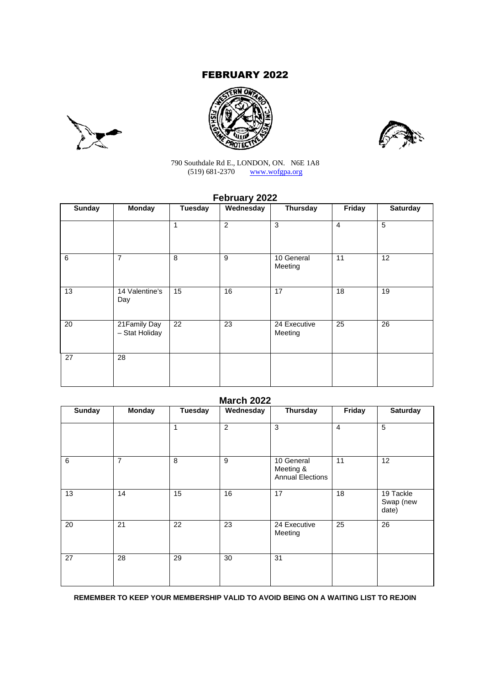# FEBRUARY 2022







790 Southdale Rd E., LONDON, ON. N6E 1A8 (519) 681-2370 www.wofgpa.org

# **February 2022**

| <b>Sunday</b> | <b>Monday</b>                   | <b>Tuesday</b> | Wednesday      | Thursday                | Friday         | <b>Saturday</b> |
|---------------|---------------------------------|----------------|----------------|-------------------------|----------------|-----------------|
|               |                                 | 1              | $\overline{c}$ | 3                       | $\overline{4}$ | 5               |
| 6             | $\overline{7}$                  | 8              | 9              | 10 General<br>Meeting   | 11             | 12              |
| 13            | 14 Valentine's<br>Day           | 15             | 16             | 17                      | 18             | 19              |
| 20            | 21 Family Day<br>- Stat Holiday | 22             | 23             | 24 Executive<br>Meeting | 25             | 26              |
| 27            | 28                              |                |                |                         |                |                 |

| <b>Sunday</b> | <b>Monday</b>  | Tuesday | Wednesday      | Thursday                                           | Friday          | <b>Saturday</b>                 |
|---------------|----------------|---------|----------------|----------------------------------------------------|-----------------|---------------------------------|
|               |                | 1       | $\overline{2}$ | 3                                                  | $\overline{4}$  | 5                               |
| 6             | $\overline{7}$ | 8       | 9              | 10 General<br>Meeting &<br><b>Annual Elections</b> | 11              | 12                              |
| 13            | 14             | 15      | 16             | 17                                                 | $\overline{18}$ | 19 Tackle<br>Swap (new<br>date) |
| 20            | 21             | 22      | 23             | 24 Executive<br>Meeting                            | 25              | $\overline{26}$                 |
| 27            | 28             | 29      | 30             | 31                                                 |                 |                                 |

**REMEMBER TO KEEP YOUR MEMBERSHIP VALID TO AVOID BEING ON A WAITING LIST TO REJOIN**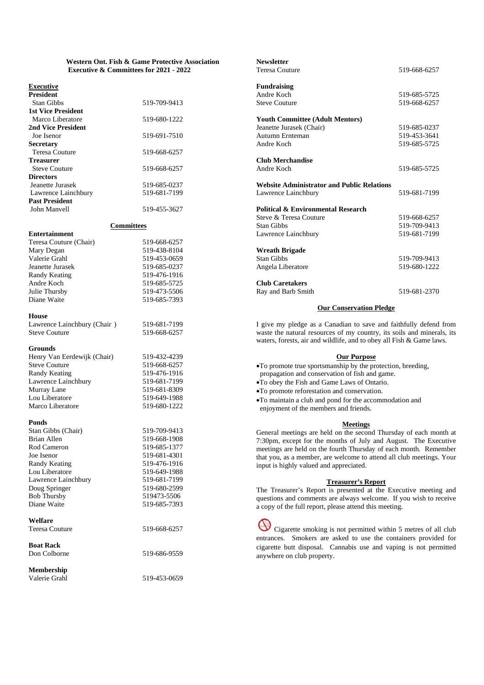#### **Western Ont. Fish & Game Protective Association Executive & Committees for 2021 - 2022**

#### **Executive**

| <b>President</b>          |              |
|---------------------------|--------------|
| <b>Stan Gibbs</b>         | 519-709-9413 |
| <b>1st Vice President</b> |              |
| Marco Liberatore          | 519-680-1222 |
| 2nd Vice President        |              |
| Joe Isenor                | 519-691-7510 |
| <b>Secretary</b>          |              |
| Teresa Couture            | 519-668-6257 |
| <b>Treasurer</b>          |              |
| <b>Steve Couture</b>      | 519-668-6257 |
| <b>Directors</b>          |              |
| Jeanette Jurasek          | 519-685-0237 |
| Lawrence Lainchbury       | 519-681-7199 |
| <b>Past President</b>     |              |
| John Manyell              | 519-455-3627 |

#### **Committees**

| <b>Entertainment</b>   |              |
|------------------------|--------------|
| Teresa Couture (Chair) | 519-668-6257 |
| Mary Degan             | 519-438-8104 |
| Valerie Grahl          | 519-453-0659 |
| Jeanette Jurasek       | 519-685-0237 |
| Randy Keating          | 519-476-1916 |
| Andre Koch             | 519-685-5725 |
| Julie Thursby          | 519-473-5506 |
| Diane Waite            | 519-685-7393 |

#### **House**

Lawrence Lainchbury (Chair ) 519-681-7199 Steve Couture 519-668-6257

#### **Grounds**

| Henry Van Eerdewijk (Chair) | 519-432-4239 |
|-----------------------------|--------------|
| <b>Steve Couture</b>        | 519-668-6257 |
| Randy Keating               | 519-476-1916 |
| Lawrence Lainchbury         | 519-681-7199 |
| Murray Lane                 | 519-681-8309 |
| Lou Liberatore              | 519-649-1988 |
| Marco Liberatore            | 519-680-1222 |

#### **Ponds**

| Stan Gibbs (Chair)    | 519-709-9413 |
|-----------------------|--------------|
| Brian Allen           | 519-668-1908 |
| Rod Cameron           | 519-685-1377 |
| Joe Isenor            | 519-681-4301 |
| Randy Keating         | 519-476-1916 |
| Lou Liberatore        | 519-649-1988 |
| Lawrence Lainchbury   | 519-681-7199 |
| Doug Springer         | 519-680-2599 |
| <b>Bob Thursby</b>    | 519473-5506  |
| Diane Waite           | 519-685-7393 |
| Welfare               |              |
| <b>Teresa Couture</b> | 519-668-6257 |
| <b>Boat Rack</b>      |              |
| Don Colborne          | 519-686-9559 |
| <b>Membership</b>     |              |

Valerie Grahl 519-453-0659

| <b>Newsletter</b>                                 |              |
|---------------------------------------------------|--------------|
| <b>Teresa Couture</b>                             | 519-668-6257 |
| <b>Fundraising</b>                                |              |
| Andre Koch                                        | 519-685-5725 |
| <b>Steve Couture</b>                              | 519-668-6257 |
| <b>Youth Committee (Adult Mentors)</b>            |              |
| Jeanette Jurasek (Chair)                          | 519-685-0237 |
| Autumn Ernteman                                   | 519-453-3641 |
| Andre Koch                                        | 519-685-5725 |
| <b>Club Merchandise</b>                           |              |
| Andre Koch                                        | 519-685-5725 |
| <b>Website Administrator and Public Relations</b> |              |
| Lawrence Lainchbury                               | 519-681-7199 |
| <b>Political &amp; Environmental Research</b>     |              |
| Steve & Teresa Couture                            | 519-668-6257 |
| <b>Stan Gibbs</b>                                 | 519-709-9413 |
| Lawrence Lainchbury                               | 519-681-7199 |
| <b>Wreath Brigade</b>                             |              |
| <b>Stan Gibbs</b>                                 | 519-709-9413 |
| Angela Liberatore                                 | 519-680-1222 |
| <b>Club Caretakers</b>                            |              |
| Ray and Barb Smith                                | 519-681-2370 |

#### **Our Conservation Pledge**

I give my pledge as a Canadian to save and faithfully defend from waste the natural resources of my country, its soils and minerals, its waters, forests, air and wildlife, and to obey all Fish & Game laws.

# **Our Purpose**

To promote true sportsmanship by the protection, breeding,

- propagation and conservation of fish and game.
- To obey the Fish and Game Laws of Ontario.
- To promote reforestation and conservation.
- To maintain a club and pond for the accommodation and enjoyment of the members and friends.

#### **Meetings**

General meetings are held on the second Thursday of each month at 7:30pm, except for the months of July and August. The Executive meetings are held on the fourth Thursday of each month. Remember that you, as a member, are welcome to attend all club meetings. Your input is highly valued and appreciated.

#### **Treasurer's Report**

The Treasurer's Report is presented at the Executive meeting and questions and comments are always welcome. If you wish to receive a copy of the full report, please attend this meeting.

Cigarette smoking is not permitted within 5 metres of all club entrances. Smokers are asked to use the containers provided for cigarette butt disposal. Cannabis use and vaping is not permitted anywhere on club property.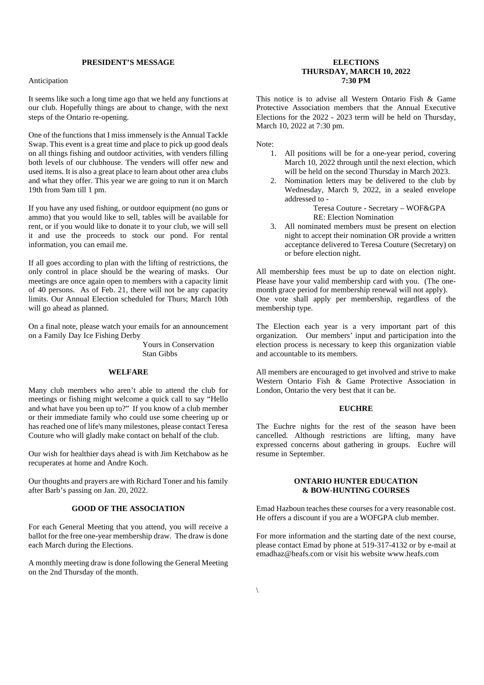# **PRESIDENT'S MESSAGE**

#### Anticipation

It seems like such a long time ago that we held any functions at our club. Hopefully things are about to change, with the next steps of the Ontario re-opening.

One of the functions that I miss immensely is the Annual Tackle Swap. This event is a great time and place to pick up good deals on all things fishing and outdoor activities, with venders filling both levels of our clubhouse. The venders will offer new and used items. It is also a great place to learn about other area clubs and what they offer. This year we are going to run it on March 19th from 9am till 1 pm.

If you have any used fishing, or outdoor equipment (no guns or ammo) that you would like to sell, tables will be available for rent, or if you would like to donate it to your club, we will sell it and use the proceeds to stock our pond. For rental information, you can email me.

If all goes according to plan with the lifting of restrictions, the only control in place should be the wearing of masks. Our meetings are once again open to members with a capacity limit of 40 persons. As of Feb. 21, there will not be any capacity limits. Our Annual Election scheduled for Thurs; March 10th will go ahead as planned.

On a final note, please watch your emails for an announcement on a Family Day Ice Fishing Derby

> Yours in Conservation Stan Gibbs

# **WELFARE**

Many club members who aren't able to attend the club for meetings or fishing might welcome a quick call to say "Hello and what have you been up to?" If you know of a club member or their immediate family who could use some cheering up or has reached one of life's many milestones, please contact Teresa Couture who will gladly make contact on behalf of the club.

Our wish for healthier days ahead is with Jim Ketchabow as he recuperates at home and Andre Koch.

Our thoughts and prayers are with Richard Toner and his family after Barb's passing on Jan. 20, 2022.

### **GOOD OF THE ASSOCIATION**

For each General Meeting that you attend, you will receive a ballot for the free one-year membership draw. The draw is done each March during the Elections.

A monthly meeting draw is done following the General Meeting on the 2nd Thursday of the month.

#### **ELECTIONS THURSDAY, MARCH 10, 2022 7:30 PM**

This notice is to advise all Western Ontario Fish & Game Protective Association members that the Annual Executive Elections for the 2022 - 2023 term will be held on Thursday, March 10, 2022 at 7:30 pm.

Note:

- 1. All positions will be for a one-year period, covering March 10, 2022 through until the next election, which will be held on the second Thursday in March 2023.
- 2. Nomination letters may be delivered to the club by Wednesday, March 9, 2022, in a sealed envelope addressed to -

Teresa Couture - Secretary – WOF&GPA RE: Election Nomination

3. All nominated members must be present on election night to accept their nomination OR provide a written acceptance delivered to Teresa Couture (Secretary) on or before election night.

All membership fees must be up to date on election night. Please have your valid membership card with you. (The onemonth grace period for membership renewal will not apply). One vote shall apply per membership, regardless of the membership type.

The Election each year is a very important part of this organization. Our members' input and participation into the election process is necessary to keep this organization viable and accountable to its members.

All members are encouraged to get involved and strive to make Western Ontario Fish & Game Protective Association in London, Ontario the very best that it can be.

### **EUCHRE**

The Euchre nights for the rest of the season have been cancelled. Although restrictions are lifting, many have expressed concerns about gathering in groups. Euchre will resume in September.

#### **ONTARIO HUNTER EDUCATION & BOW-HUNTING COURSES**

Emad Hazboun teaches these courses for a very reasonable cost. He offers a discount if you are a WOFGPA club member.

For more information and the starting date of the next course, please contact Emad by phone at 519-317-4132 or by e-mail at emadhaz@heafs.com or visit his website www.heafs.com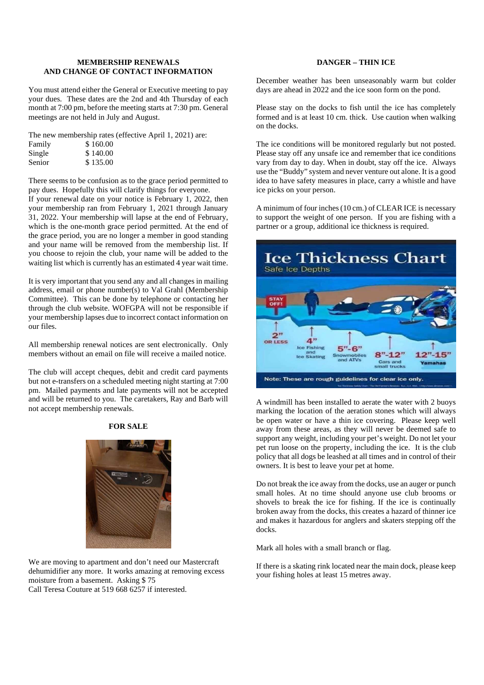### **MEMBERSHIP RENEWALS AND CHANGE OF CONTACT INFORMATION**

You must attend either the General or Executive meeting to pay your dues. These dates are the 2nd and 4th Thursday of each month at 7:00 pm, before the meeting starts at 7:30 pm. General meetings are not held in July and August.

The new membership rates (effective April 1, 2021) are:

| Family | \$160.00 |
|--------|----------|
| Single | \$140.00 |
| Senior | \$135.00 |

There seems to be confusion as to the grace period permitted to pay dues. Hopefully this will clarify things for everyone.

If your renewal date on your notice is February 1, 2022, then your membership ran from February 1, 2021 through January 31, 2022. Your membership will lapse at the end of February, which is the one-month grace period permitted. At the end of the grace period, you are no longer a member in good standing and your name will be removed from the membership list. If you choose to rejoin the club, your name will be added to the waiting list which is currently has an estimated 4 year wait time.

It is very important that you send any and all changes in mailing address, email or phone number(s) to Val Grahl (Membership Committee). This can be done by telephone or contacting her through the club website. WOFGPA will not be responsible if your membership lapses due to incorrect contact information on our files.

All membership renewal notices are sent electronically. Only members without an email on file will receive a mailed notice.

The club will accept cheques, debit and credit card payments but not e-transfers on a scheduled meeting night starting at 7:00 pm. Mailed payments and late payments will not be accepted and will be returned to you. The caretakers, Ray and Barb will not accept membership renewals.

# **FOR SALE**



We are moving to apartment and don't need our Mastercraft dehumidifier any more. It works amazing at removing excess moisture from a basement. Asking \$ 75 Call Teresa Couture at 519 668 6257 if interested.

# **DANGER – THIN ICE**

December weather has been unseasonably warm but colder days are ahead in 2022 and the ice soon form on the pond.

Please stay on the docks to fish until the ice has completely formed and is at least 10 cm. thick. Use caution when walking on the docks.

The ice conditions will be monitored regularly but not posted. Please stay off any unsafe ice and remember that ice conditions vary from day to day. When in doubt, stay off the ice. Always use the "Buddy" system and never venture out alone. It is a good idea to have safety measures in place, carry a whistle and have ice picks on your person.

A minimum of four inches (10 cm.) of CLEAR ICE is necessary to support the weight of one person. If you are fishing with a partner or a group, additional ice thickness is required.



A windmill has been installed to aerate the water with 2 buoys marking the location of the aeration stones which will always be open water or have a thin ice covering. Please keep well away from these areas, as they will never be deemed safe to support any weight, including your pet's weight. Do not let your pet run loose on the property, including the ice. It is the club policy that all dogs be leashed at all times and in control of their owners. It is best to leave your pet at home.

Do not break the ice away from the docks, use an auger or punch small holes. At no time should anyone use club brooms or shovels to break the ice for fishing. If the ice is continually broken away from the docks, this creates a hazard of thinner ice and makes it hazardous for anglers and skaters stepping off the docks.

Mark all holes with a small branch or flag.

If there is a skating rink located near the main dock, please keep your fishing holes at least 15 metres away.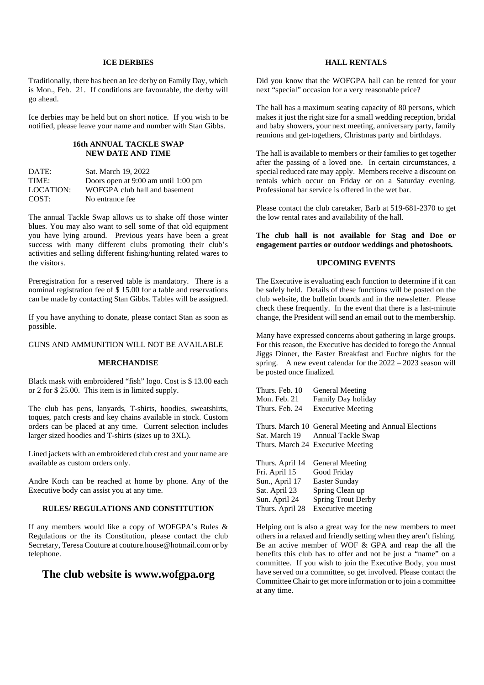#### **ICE DERBIES**

Traditionally, there has been an Ice derby on Family Day, which is Mon., Feb. 21. If conditions are favourable, the derby will go ahead.

Ice derbies may be held but on short notice. If you wish to be notified, please leave your name and number with Stan Gibbs.

#### **16th ANNUAL TACKLE SWAP NEW DATE AND TIME**

| DATE:     | Sat. March 19, 2022                     |
|-----------|-----------------------------------------|
| TIME:     | Doors open at $9:00$ am until $1:00$ pm |
| LOCATION: | WOFGPA club hall and basement           |
| COST:     | No entrance fee                         |

The annual Tackle Swap allows us to shake off those winter blues. You may also want to sell some of that old equipment you have lying around. Previous years have been a great success with many different clubs promoting their club's activities and selling different fishing/hunting related wares to the visitors.

Preregistration for a reserved table is mandatory. There is a nominal registration fee of \$ 15.00 for a table and reservations can be made by contacting Stan Gibbs. Tables will be assigned.

If you have anything to donate, please contact Stan as soon as possible.

GUNS AND AMMUNITION WILL NOT BE AVAILABLE

# **MERCHANDISE**

Black mask with embroidered "fish" logo. Cost is \$ 13.00 each or 2 for \$ 25.00. This item is in limited supply.

The club has pens, lanyards, T-shirts, hoodies, sweatshirts, toques, patch crests and key chains available in stock. Custom orders can be placed at any time. Current selection includes larger sized hoodies and T-shirts (sizes up to 3XL).

Lined jackets with an embroidered club crest and your name are available as custom orders only.

Andre Koch can be reached at home by phone. Any of the Executive body can assist you at any time.

### **RULES/ REGULATIONS AND CONSTITUTION**

If any members would like a copy of WOFGPA's Rules & Regulations or the its Constitution, please contact the club Secretary, Teresa Couture at couture.house@hotmail.com or by telephone.

# **The club website is www.wofgpa.org**

# **HALL RENTALS**

Did you know that the WOFGPA hall can be rented for your next "special" occasion for a very reasonable price?

The hall has a maximum seating capacity of 80 persons, which makes it just the right size for a small wedding reception, bridal and baby showers, your next meeting, anniversary party, family reunions and get-togethers, Christmas party and birthdays.

The hall is available to members or their families to get together after the passing of a loved one. In certain circumstances, a special reduced rate may apply. Members receive a discount on rentals which occur on Friday or on a Saturday evening. Professional bar service is offered in the wet bar.

Please contact the club caretaker, Barb at 519-681-2370 to get the low rental rates and availability of the hall.

**The club hall is not available for Stag and Doe or engagement parties or outdoor weddings and photoshoots.**

### **UPCOMING EVENTS**

The Executive is evaluating each function to determine if it can be safely held. Details of these functions will be posted on the club website, the bulletin boards and in the newsletter. Please check these frequently. In the event that there is a last-minute change, the President will send an email out to the membership.

Many have expressed concerns about gathering in large groups. For this reason, the Executive has decided to forego the Annual Jiggs Dinner, the Easter Breakfast and Euchre nights for the spring. A new event calendar for the  $2022 - 2023$  season will be posted once finalized.

| Thurs. Feb. 10  | <b>General Meeting</b>                               |
|-----------------|------------------------------------------------------|
| Mon. Feb. 21    | <b>Family Day holiday</b>                            |
| Thurs. Feb. 24  | <b>Executive Meeting</b>                             |
|                 |                                                      |
|                 | Thurs. March 10 General Meeting and Annual Elections |
|                 | Sat. March 19 Annual Tackle Swap                     |
|                 | Thurs. March 24 Executive Meeting                    |
|                 |                                                      |
| Thurs. April 14 | <b>General Meeting</b>                               |
| Fri. April 15   | Good Friday                                          |
| Sun., April 17  | Easter Sunday                                        |
| Sat. April 23   | Spring Clean up                                      |
| Sun. April 24   | <b>Spring Trout Derby</b>                            |
| Thurs. April 28 | Executive meeting                                    |
|                 |                                                      |

Helping out is also a great way for the new members to meet others in a relaxed and friendly setting when they aren't fishing. Be an active member of WOF & GPA and reap the all the benefits this club has to offer and not be just a "name" on a committee. If you wish to join the Executive Body, you must have served on a committee, so get involved. Please contact the Committee Chair to get more information or to join a committee at any time.